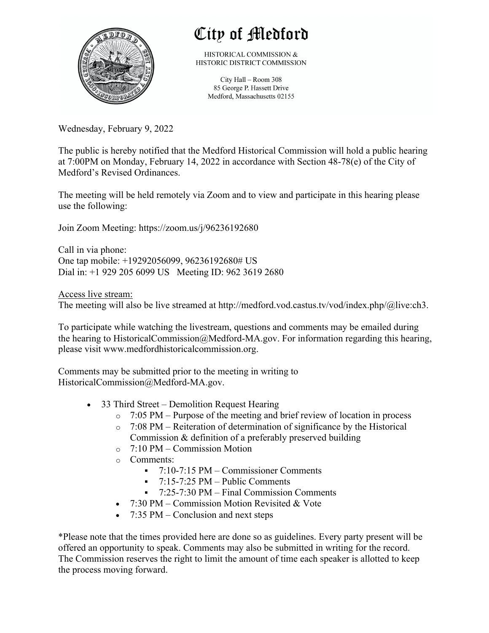

## City of Medford

HISTORICAL COMMISSION & HISTORIC DISTRICT COMMISSION

> City Hall - Room 308 85 George P. Hassett Drive Medford, Massachusetts 02155

Wednesday, February 9, 2022

The public is hereby notified that the Medford Historical Commission will hold a public hearing at 7:00PM on Monday, February 14, 2022 in accordance with Section 48-78(e) of the City of Medford's Revised Ordinances.

The meeting will be held remotely via Zoom and to view and participate in this hearing please use the following:

Join Zoom Meeting: https://zoom.us/j/96236192680

Call in via phone: One tap mobile: +19292056099, 96236192680# US Dial in: +1 929 205 6099 US Meeting ID: 962 3619 2680

Access live stream: The meeting will also be live streamed at http://medford.vod.castus.tv/vod/index.php/@live:ch3.

To participate while watching the livestream, questions and comments may be emailed during the hearing to HistoricalCommission@Medford-MA.gov. For information regarding this hearing, please visit www.medfordhistoricalcommission.org.

Comments may be submitted prior to the meeting in writing to HistoricalCommission@Medford-MA.gov.

- 33 Third Street Demolition Request Hearing
	- $\circ$  7:05 PM Purpose of the meeting and brief review of location in process
	- o 7:08 PM Reiteration of determination of significance by the Historical Commission & definition of a preferably preserved building
	- o 7:10 PM Commission Motion
	- o Comments:
		- § 7:10-7:15 PM Commissioner Comments
		- $\blacksquare$  7:15-7:25 PM Public Comments
		- § 7:25-7:30 PM Final Commission Comments
	- 7:30 PM Commission Motion Revisited & Vote
	- 7:35 PM Conclusion and next steps

\*Please note that the times provided here are done so as guidelines. Every party present will be offered an opportunity to speak. Comments may also be submitted in writing for the record. The Commission reserves the right to limit the amount of time each speaker is allotted to keep the process moving forward.